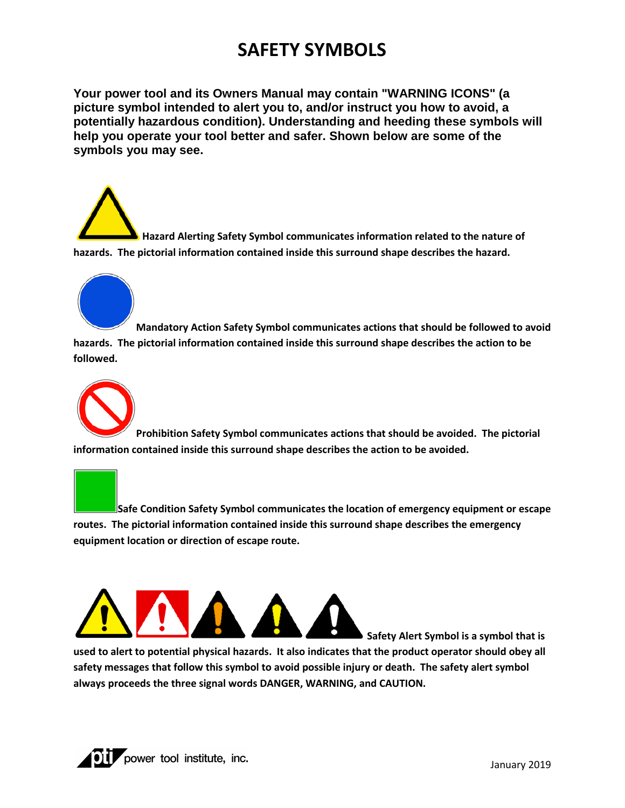## **SAFETY SYMBOLS**

**Your power tool and its Owners Manual may contain "WARNING ICONS" (a picture symbol intended to alert you to, and/or instruct you how to avoid, a potentially hazardous condition). Understanding and heeding these symbols will help you operate your tool better and safer. Shown below are some of the symbols you may see.**

**Hazard Alerting Safety Symbol communicates information related to the nature of hazards. The pictorial information contained inside this surround shape describes the hazard.**



**Mandatory Action Safety Symbol communicates actions that should be followed to avoid hazards. The pictorial information contained inside this surround shape describes the action to be followed.**



**Prohibition Safety Symbol communicates actions that should be avoided. The pictorial information contained inside this surround shape describes the action to be avoided.**

**Safe Condition Safety Symbol communicates the location of emergency equipment or escape routes. The pictorial information contained inside this surround shape describes the emergency equipment location or direction of escape route.**



**used to alert to potential physical hazards. It also indicates that the product operator should obey all safety messages that follow this symbol to avoid possible injury or death. The safety alert symbol always proceeds the three signal words DANGER, WARNING, and CAUTION.**



**Safety Alert Symbol is a symbol that is**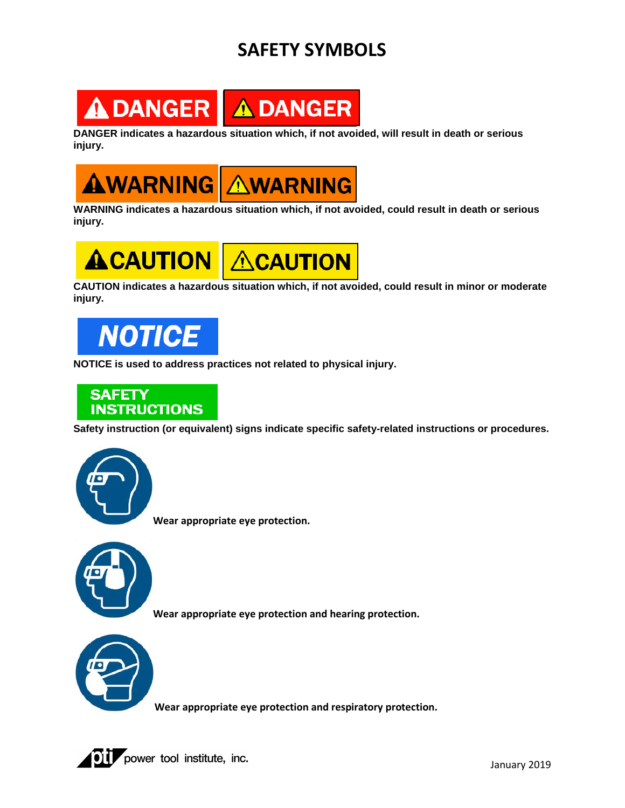## **SAFETY SYMBOLS**



**DANGER indicates a hazardous situation which, if not avoided, will result in death or serious injury.**



**WARNING indicates a hazardous situation which, if not avoided, could result in death or serious injury.**



**CAUTION indicates a hazardous situation which, if not avoided, could result in minor or moderate injury.**



**NOTICE is used to address practices not related to physical injury.**



**Safety instruction (or equivalent) signs indicate specific safety-related instructions or procedures.**



**Wear appropriate eye protection.**



**Wear appropriate eye protection and hearing protection.**



**Wear appropriate eye protection and respiratory protection.**